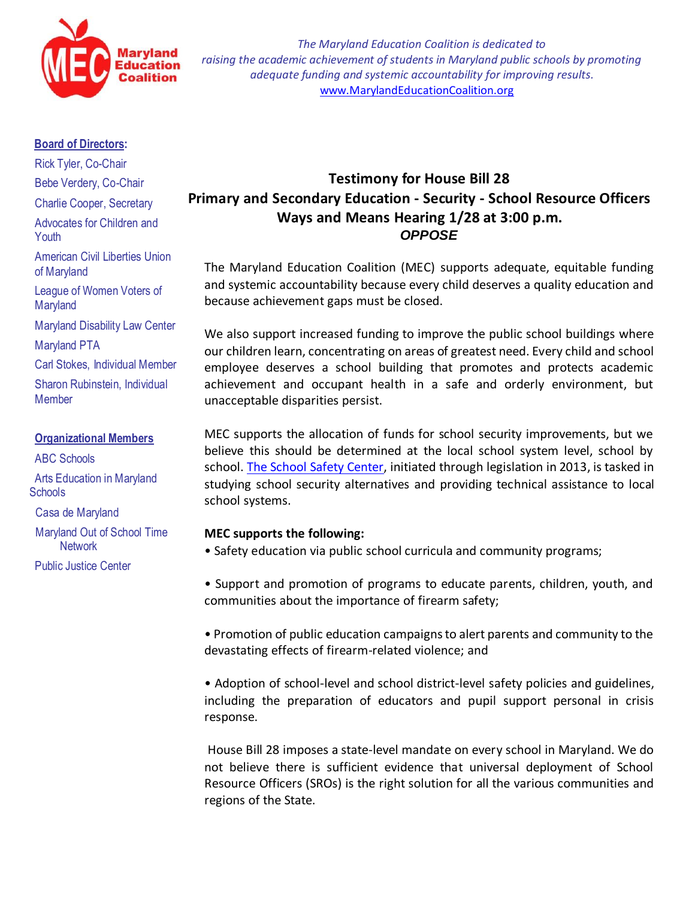

*The Maryland Education Coalition is dedicated to raising the academic achievement of students in Maryland public schools by promoting adequate funding and systemic accountability for improving results.* [www.MarylandEducationCoalition.org](http://www.marylandeducationcoalition.org/)

## **Board of Directors:**

Rick Tyler, Co-Chair Bebe Verdery, Co-Chair

Charlie Cooper, Secretary

Advocates for Children and

Youth

American Civil Liberties Union of Maryland

League of Women Voters of **Maryland** 

Maryland Disability Law Center

Maryland PTA

Carl Stokes, Individual Member

Sharon Rubinstein, Individual **Member** 

## **Organizational Members**

 ABC Schools Arts Education in Maryland **Schools** 

 Casa de Maryland Maryland Out of School Time **Network** 

Public Justice Center

## **Testimony for House Bill 28 Primary and Secondary Education - Security - School Resource Officers [Ways and Means](http://mgaleg.maryland.gov/webmga/frmMain.aspx?pid=cmtepage&tab=subject3&id=w%26m&stab=02&ys=2015RS) Hearing 1/28 at 3:00 p.m.** *OPPOSE*

The Maryland Education Coalition (MEC) supports adequate, equitable funding and systemic accountability because every child deserves a quality education and because achievement gaps must be closed.

We also support increased funding to improve the public school buildings where our children learn, concentrating on areas of greatest need. Every child and school employee deserves a school building that promotes and protects academic achievement and occupant health in a safe and orderly environment, but unacceptable disparities persist.

MEC supports the allocation of funds for school security improvements, but we believe this should be determined at the local school system level, school by school. [The School Safety Center,](http://marylandpublicschools.org/stateboard/boardagenda/02252014/Tabs_E1_E2_E3_E4_MarylandCenterSchoolSafety.pdf) initiated through legislation in 2013, is tasked in studying school security alternatives and providing technical assistance to local school systems.

## **MEC supports the following:**

• Safety education via public school curricula and community programs;

• Support and promotion of programs to educate parents, children, youth, and communities about the importance of firearm safety;

• Promotion of public education campaigns to alert parents and community to the devastating effects of firearm-related violence; and

• Adoption of school-level and school district-level safety policies and guidelines, including the preparation of educators and pupil support personal in crisis response.

House Bill 28 imposes a state-level mandate on every school in Maryland. We do not believe there is sufficient evidence that universal deployment of School Resource Officers (SROs) is the right solution for all the various communities and regions of the State.